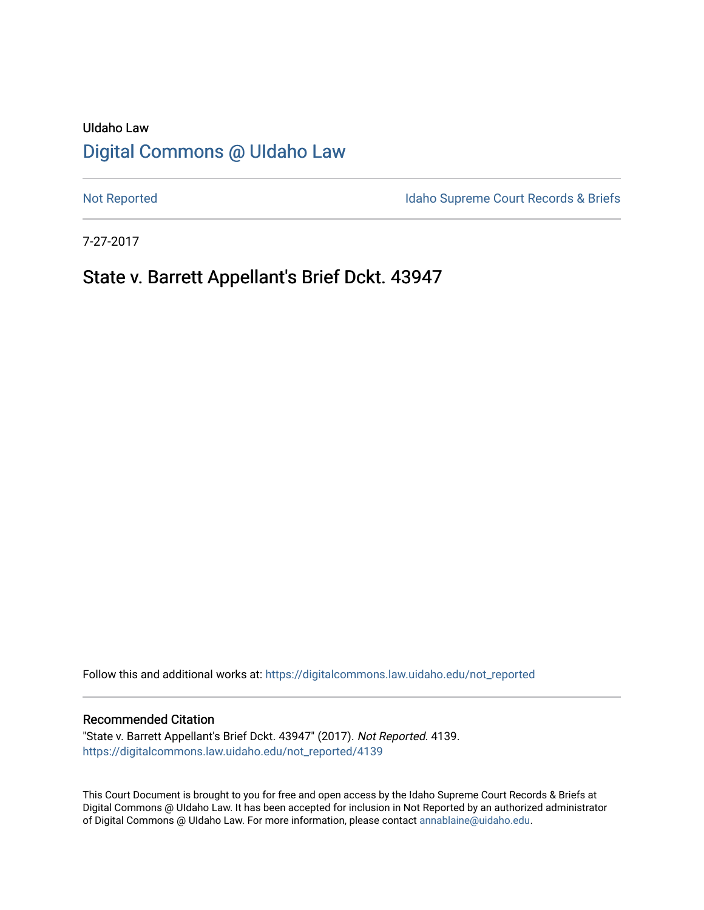# UIdaho Law [Digital Commons @ UIdaho Law](https://digitalcommons.law.uidaho.edu/)

[Not Reported](https://digitalcommons.law.uidaho.edu/not_reported) **Idaho Supreme Court Records & Briefs** 

7-27-2017

# State v. Barrett Appellant's Brief Dckt. 43947

Follow this and additional works at: [https://digitalcommons.law.uidaho.edu/not\\_reported](https://digitalcommons.law.uidaho.edu/not_reported?utm_source=digitalcommons.law.uidaho.edu%2Fnot_reported%2F4139&utm_medium=PDF&utm_campaign=PDFCoverPages) 

#### Recommended Citation

"State v. Barrett Appellant's Brief Dckt. 43947" (2017). Not Reported. 4139. [https://digitalcommons.law.uidaho.edu/not\\_reported/4139](https://digitalcommons.law.uidaho.edu/not_reported/4139?utm_source=digitalcommons.law.uidaho.edu%2Fnot_reported%2F4139&utm_medium=PDF&utm_campaign=PDFCoverPages)

This Court Document is brought to you for free and open access by the Idaho Supreme Court Records & Briefs at Digital Commons @ UIdaho Law. It has been accepted for inclusion in Not Reported by an authorized administrator of Digital Commons @ UIdaho Law. For more information, please contact [annablaine@uidaho.edu](mailto:annablaine@uidaho.edu).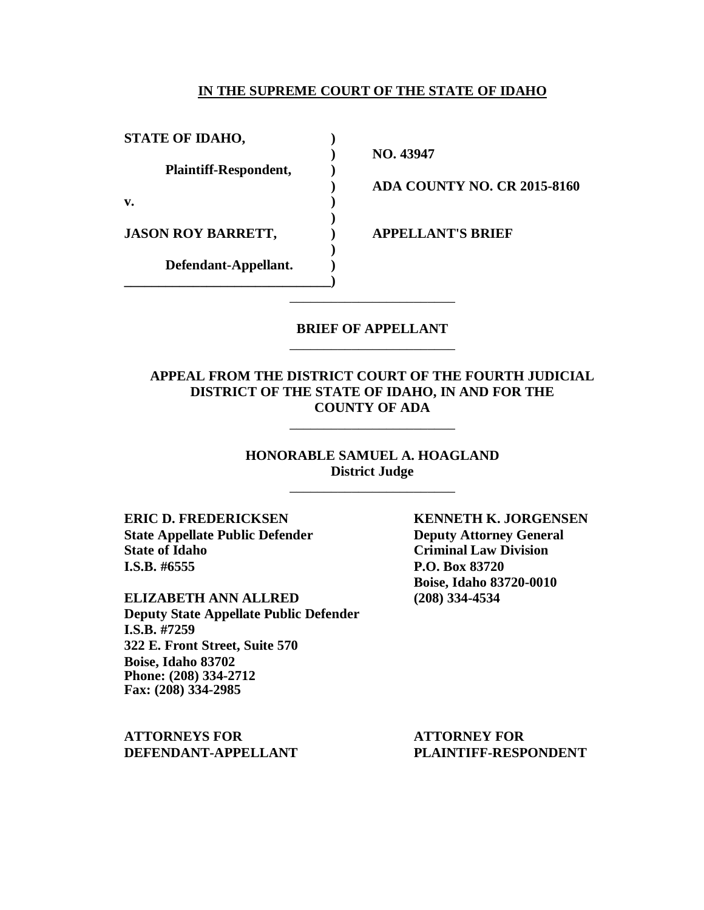#### **IN THE SUPREME COURT OF THE STATE OF IDAHO**

**STATE OF IDAHO, ) Plaintiff-Respondent, ) v. ) JASON ROY BARRETT, ) APPELLANT'S BRIEF Defendant-Appellant. ) \_\_\_\_\_\_\_\_\_\_\_\_\_\_\_\_\_\_\_\_\_\_\_\_\_\_\_\_\_\_)**

**) NO. 43947**

**) ADA COUNTY NO. CR 2015-8160**

### **BRIEF OF APPELLANT** \_\_\_\_\_\_\_\_\_\_\_\_\_\_\_\_\_\_\_\_\_\_\_\_

\_\_\_\_\_\_\_\_\_\_\_\_\_\_\_\_\_\_\_\_\_\_\_\_

**)**

**)**

### **APPEAL FROM THE DISTRICT COURT OF THE FOURTH JUDICIAL DISTRICT OF THE STATE OF IDAHO, IN AND FOR THE COUNTY OF ADA**

\_\_\_\_\_\_\_\_\_\_\_\_\_\_\_\_\_\_\_\_\_\_\_\_

**HONORABLE SAMUEL A. HOAGLAND District Judge**

\_\_\_\_\_\_\_\_\_\_\_\_\_\_\_\_\_\_\_\_\_\_\_\_

**ERIC D. FREDERICKSEN KENNETH K. JORGENSEN State Appellate Public Defender Deputy Attorney General State of Idaho Criminal Law Division I.S.B. #6555 P.O. Box 83720**

**ELIZABETH ANN ALLRED (208) 334-4534 Deputy State Appellate Public Defender I.S.B. #7259 322 E. Front Street, Suite 570 Boise, Idaho 83702 Phone: (208) 334-2712 Fax: (208) 334-2985**

**ATTORNEYS FOR ATTORNEY FOR DEFENDANT-APPELLANT PLAINTIFF-RESPONDENT**

**Boise, Idaho 83720-0010**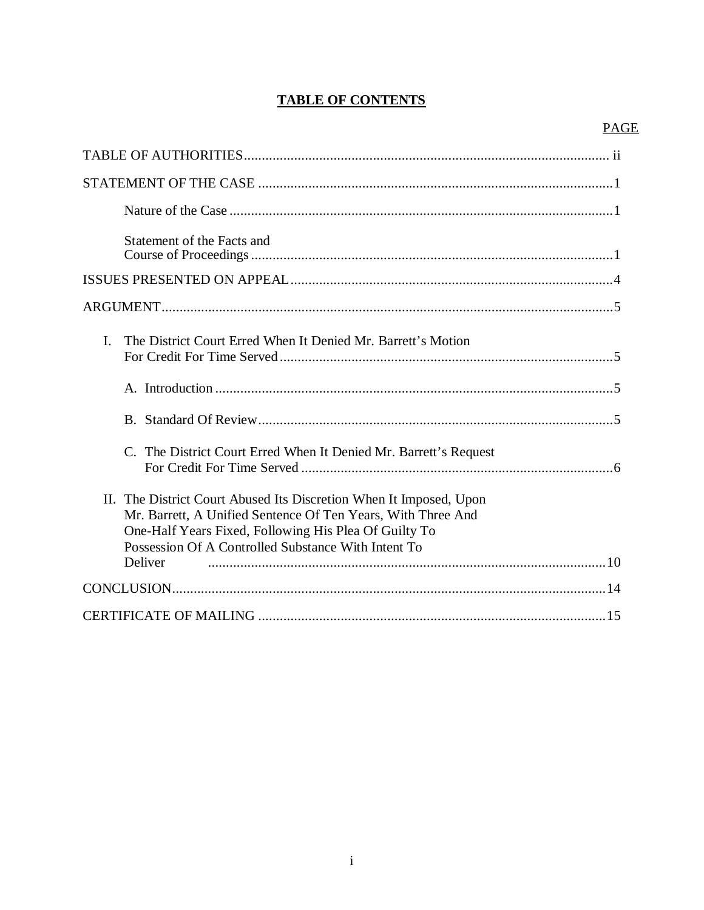# **TABLE OF CONTENTS**

# **PAGE**

| Statement of the Facts and                                                                                                                                                                                                                                    |
|---------------------------------------------------------------------------------------------------------------------------------------------------------------------------------------------------------------------------------------------------------------|
|                                                                                                                                                                                                                                                               |
|                                                                                                                                                                                                                                                               |
| The District Court Erred When It Denied Mr. Barrett's Motion<br>$\mathbf{I}$                                                                                                                                                                                  |
|                                                                                                                                                                                                                                                               |
|                                                                                                                                                                                                                                                               |
| C. The District Court Erred When It Denied Mr. Barrett's Request                                                                                                                                                                                              |
| II. The District Court Abused Its Discretion When It Imposed, Upon<br>Mr. Barrett, A Unified Sentence Of Ten Years, With Three And<br>One-Half Years Fixed, Following His Plea Of Guilty To<br>Possession Of A Controlled Substance With Intent To<br>Deliver |
|                                                                                                                                                                                                                                                               |
|                                                                                                                                                                                                                                                               |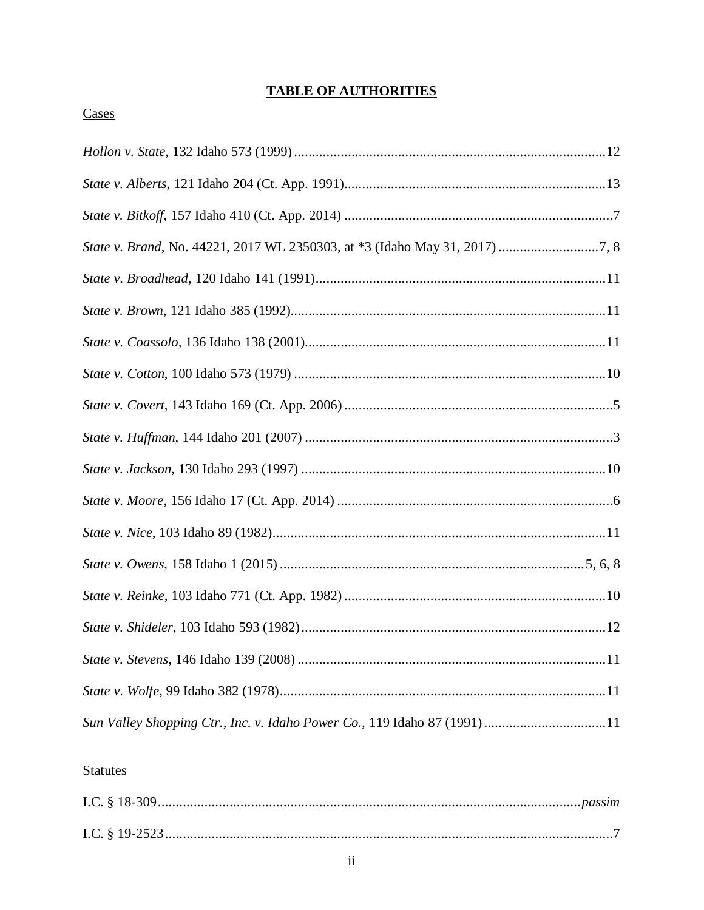# **TABLE OF AUTHORITIES**

| Sun Valley Shopping Ctr., Inc. v. Idaho Power Co., 119 Idaho 87 (1991)11 |
|--------------------------------------------------------------------------|

## **Statutes**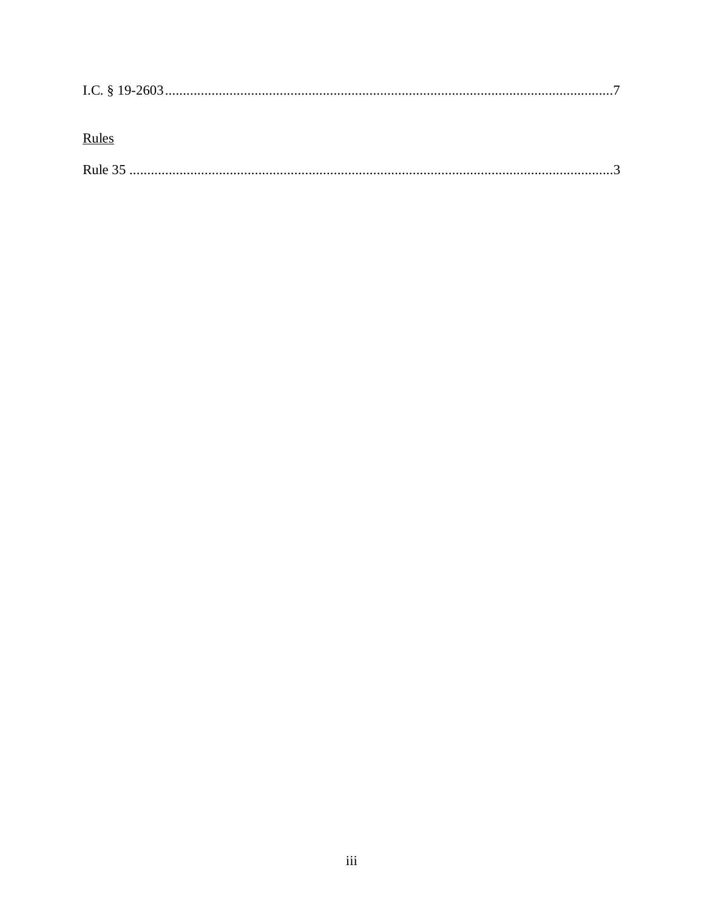| Rules |  |
|-------|--|
|       |  |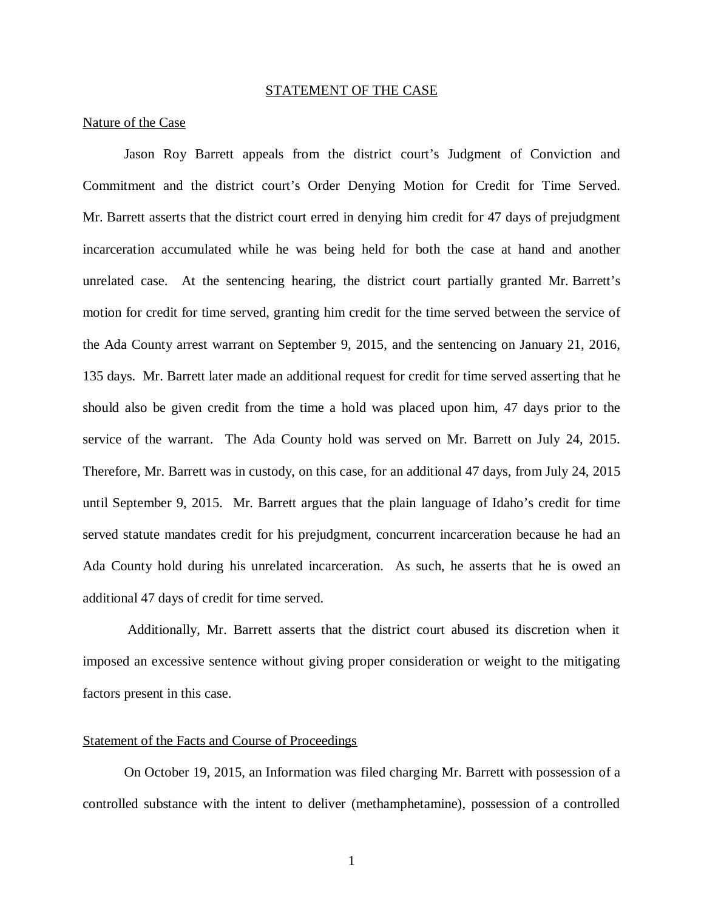#### STATEMENT OF THE CASE

#### Nature of the Case

Jason Roy Barrett appeals from the district court's Judgment of Conviction and Commitment and the district court's Order Denying Motion for Credit for Time Served. Mr. Barrett asserts that the district court erred in denying him credit for 47 days of prejudgment incarceration accumulated while he was being held for both the case at hand and another unrelated case. At the sentencing hearing, the district court partially granted Mr. Barrett's motion for credit for time served, granting him credit for the time served between the service of the Ada County arrest warrant on September 9, 2015, and the sentencing on January 21, 2016, 135 days. Mr. Barrett later made an additional request for credit for time served asserting that he should also be given credit from the time a hold was placed upon him, 47 days prior to the service of the warrant. The Ada County hold was served on Mr. Barrett on July 24, 2015. Therefore, Mr. Barrett was in custody, on this case, for an additional 47 days, from July 24, 2015 until September 9, 2015. Mr. Barrett argues that the plain language of Idaho's credit for time served statute mandates credit for his prejudgment, concurrent incarceration because he had an Ada County hold during his unrelated incarceration. As such, he asserts that he is owed an additional 47 days of credit for time served.

 Additionally, Mr. Barrett asserts that the district court abused its discretion when it imposed an excessive sentence without giving proper consideration or weight to the mitigating factors present in this case.

#### Statement of the Facts and Course of Proceedings

On October 19, 2015, an Information was filed charging Mr. Barrett with possession of a controlled substance with the intent to deliver (methamphetamine), possession of a controlled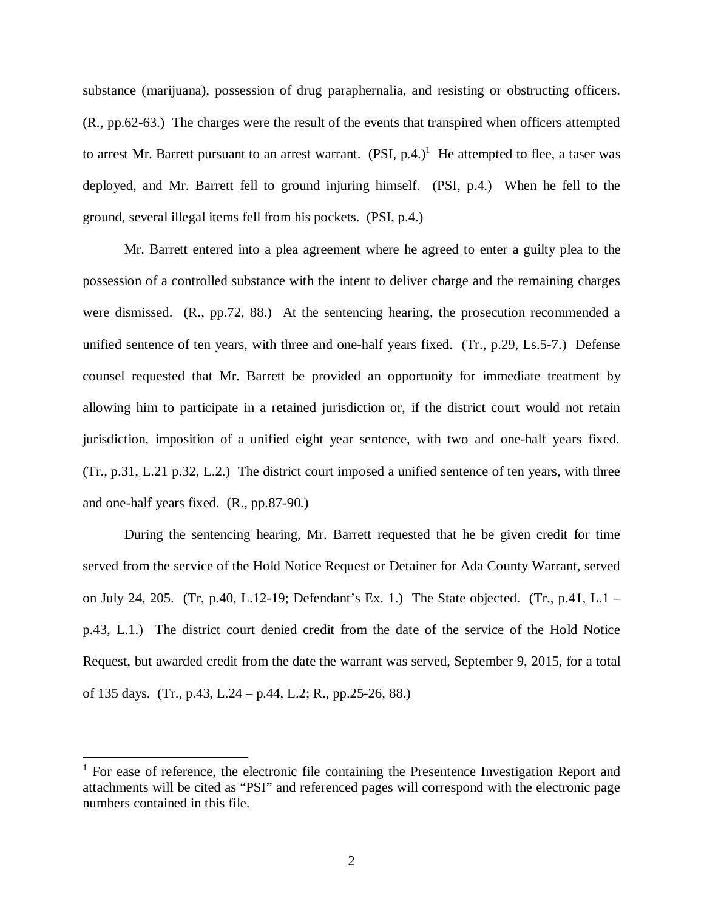substance (marijuana), possession of drug paraphernalia, and resisting or obstructing officers. (R., pp.62-63.) The charges were the result of the events that transpired when officers attempted to arrest Mr. Barrett pursuant to an arrest warrant.  $(PSI, p.4.)$ <sup>[1](#page-6-0)</sup> He attempted to flee, a taser was deployed, and Mr. Barrett fell to ground injuring himself. (PSI, p.4.) When he fell to the ground, several illegal items fell from his pockets. (PSI, p.4.)

Mr. Barrett entered into a plea agreement where he agreed to enter a guilty plea to the possession of a controlled substance with the intent to deliver charge and the remaining charges were dismissed. (R., pp.72, 88.) At the sentencing hearing, the prosecution recommended a unified sentence of ten years, with three and one-half years fixed. (Tr., p.29, Ls.5-7.) Defense counsel requested that Mr. Barrett be provided an opportunity for immediate treatment by allowing him to participate in a retained jurisdiction or, if the district court would not retain jurisdiction, imposition of a unified eight year sentence, with two and one-half years fixed. (Tr., p.31, L.21 p.32, L.2.) The district court imposed a unified sentence of ten years, with three and one-half years fixed. (R., pp.87-90.)

During the sentencing hearing, Mr. Barrett requested that he be given credit for time served from the service of the Hold Notice Request or Detainer for Ada County Warrant, served on July 24, 205. (Tr, p.40, L.12-19; Defendant's Ex. 1.) The State objected. (Tr., p.41, L.1 – p.43, L.1.) The district court denied credit from the date of the service of the Hold Notice Request, but awarded credit from the date the warrant was served, September 9, 2015, for a total of 135 days. (Tr., p.43, L.24 – p.44, L.2; R., pp.25-26, 88.)

<span id="page-6-0"></span><sup>&</sup>lt;sup>1</sup> For ease of reference, the electronic file containing the Presentence Investigation Report and attachments will be cited as "PSI" and referenced pages will correspond with the electronic page numbers contained in this file.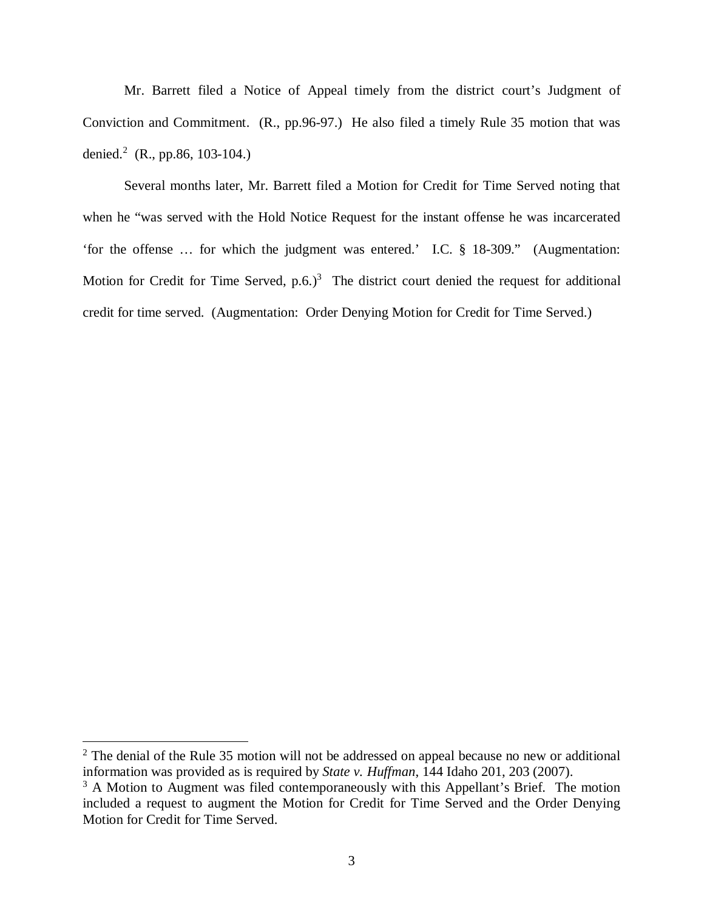Mr. Barrett filed a Notice of Appeal timely from the district court's Judgment of Conviction and Commitment. (R., pp.96-97.) He also filed a timely Rule 35 motion that was denied.<sup>[2](#page-7-0)</sup> (R., pp.86, 103-104.)

Several months later, Mr. Barrett filed a Motion for Credit for Time Served noting that when he "was served with the Hold Notice Request for the instant offense he was incarcerated 'for the offense … for which the judgment was entered.' I.C. § 18-309." (Augmentation: Motion for Credit for Time Served,  $p.6$ .)<sup>[3](#page-7-1)</sup> The district court denied the request for additional credit for time served. (Augmentation: Order Denying Motion for Credit for Time Served.)

<span id="page-7-0"></span> $2$  The denial of the Rule 35 motion will not be addressed on appeal because no new or additional information was provided as is required by *State v. Huffman*, 144 Idaho 201, 203 (2007).

<span id="page-7-1"></span><sup>&</sup>lt;sup>3</sup> A Motion to Augment was filed contemporaneously with this Appellant's Brief. The motion included a request to augment the Motion for Credit for Time Served and the Order Denying Motion for Credit for Time Served.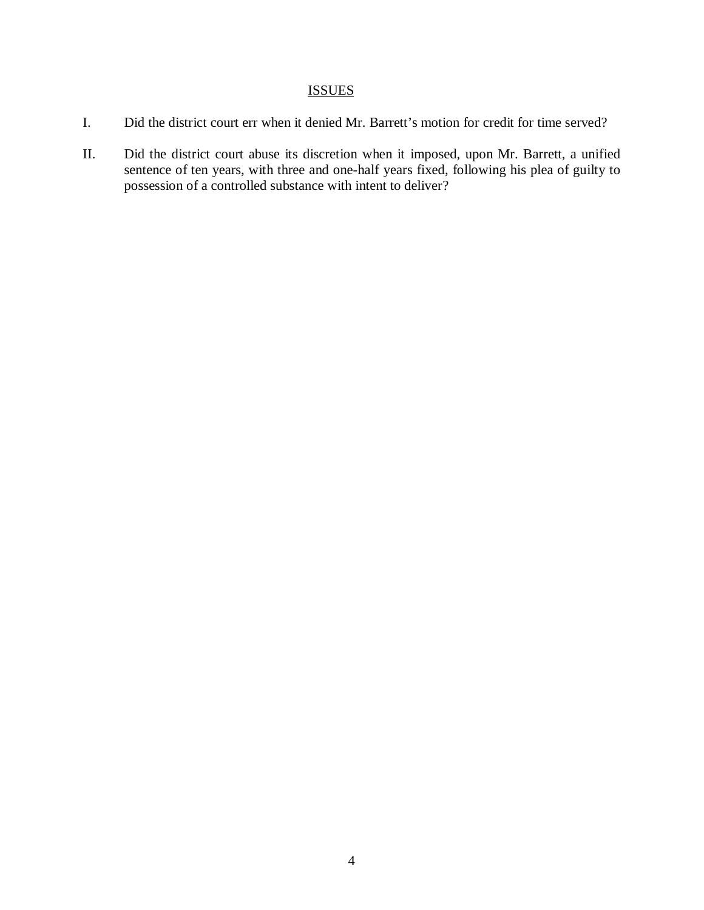# **ISSUES**

- I. Did the district court err when it denied Mr. Barrett's motion for credit for time served?
- II. Did the district court abuse its discretion when it imposed, upon Mr. Barrett, a unified sentence of ten years, with three and one-half years fixed, following his plea of guilty to possession of a controlled substance with intent to deliver?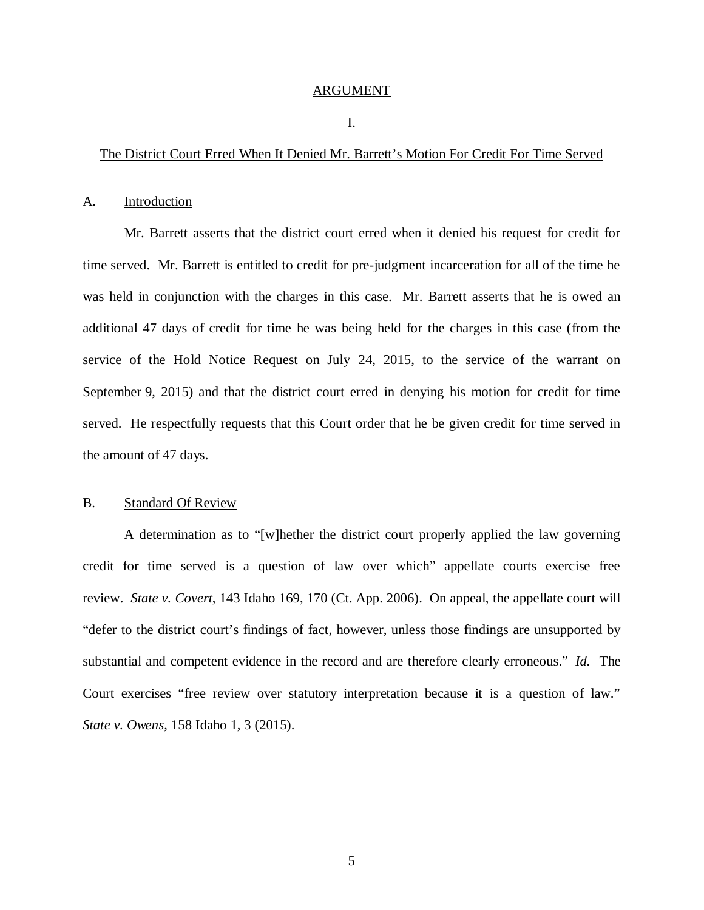#### ARGUMENT

#### I.

#### The District Court Erred When It Denied Mr. Barrett's Motion For Credit For Time Served

#### A. Introduction

Mr. Barrett asserts that the district court erred when it denied his request for credit for time served. Mr. Barrett is entitled to credit for pre-judgment incarceration for all of the time he was held in conjunction with the charges in this case. Mr. Barrett asserts that he is owed an additional 47 days of credit for time he was being held for the charges in this case (from the service of the Hold Notice Request on July 24, 2015, to the service of the warrant on September 9, 2015) and that the district court erred in denying his motion for credit for time served. He respectfully requests that this Court order that he be given credit for time served in the amount of 47 days.

#### B. Standard Of Review

A determination as to "[w]hether the district court properly applied the law governing credit for time served is a question of law over which" appellate courts exercise free review. *State v. Covert*, 143 Idaho 169, 170 (Ct. App. 2006). On appeal, the appellate court will "defer to the district court's findings of fact, however, unless those findings are unsupported by substantial and competent evidence in the record and are therefore clearly erroneous." *Id.* The Court exercises "free review over statutory interpretation because it is a question of law." *State v. Owens*, 158 Idaho 1, 3 (2015).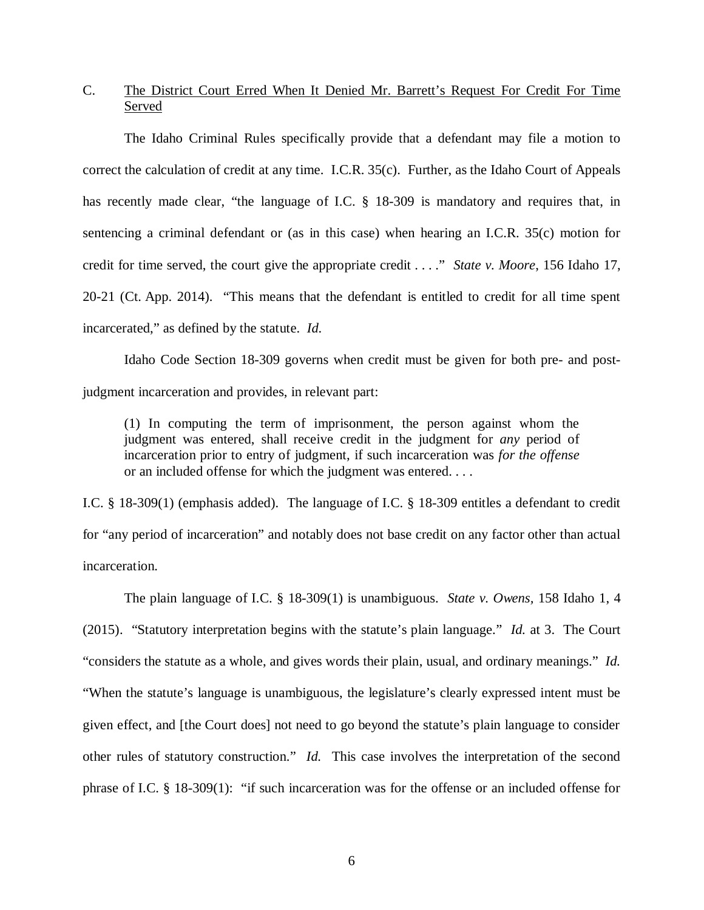## C. The District Court Erred When It Denied Mr. Barrett's Request For Credit For Time Served

The Idaho Criminal Rules specifically provide that a defendant may file a motion to correct the calculation of credit at any time. I.C.R. 35(c). Further, as the Idaho Court of Appeals has recently made clear, "the language of I.C. § 18-309 is mandatory and requires that, in sentencing a criminal defendant or (as in this case) when hearing an I.C.R. 35(c) motion for credit for time served, the court give the appropriate credit . . . ." *State v. Moore*, 156 Idaho 17, 20-21 (Ct. App. 2014). "This means that the defendant is entitled to credit for all time spent incarcerated," as defined by the statute. *Id*.

Idaho Code Section 18-309 governs when credit must be given for both pre- and postjudgment incarceration and provides, in relevant part:

(1) In computing the term of imprisonment, the person against whom the judgment was entered, shall receive credit in the judgment for *any* period of incarceration prior to entry of judgment, if such incarceration was *for the offense* or an included offense for which the judgment was entered. . . .

I.C. § 18-309(1) (emphasis added). The language of I.C. § 18-309 entitles a defendant to credit for "any period of incarceration" and notably does not base credit on any factor other than actual incarceration.

The plain language of I.C. § 18-309(1) is unambiguous. *State v. Owens,* 158 Idaho 1, 4 (2015). "Statutory interpretation begins with the statute's plain language." *Id.* at 3. The Court "considers the statute as a whole, and gives words their plain, usual, and ordinary meanings." *Id.* "When the statute's language is unambiguous, the legislature's clearly expressed intent must be given effect, and [the Court does] not need to go beyond the statute's plain language to consider other rules of statutory construction." *Id.* This case involves the interpretation of the second phrase of I.C. § 18-309(1): "if such incarceration was for the offense or an included offense for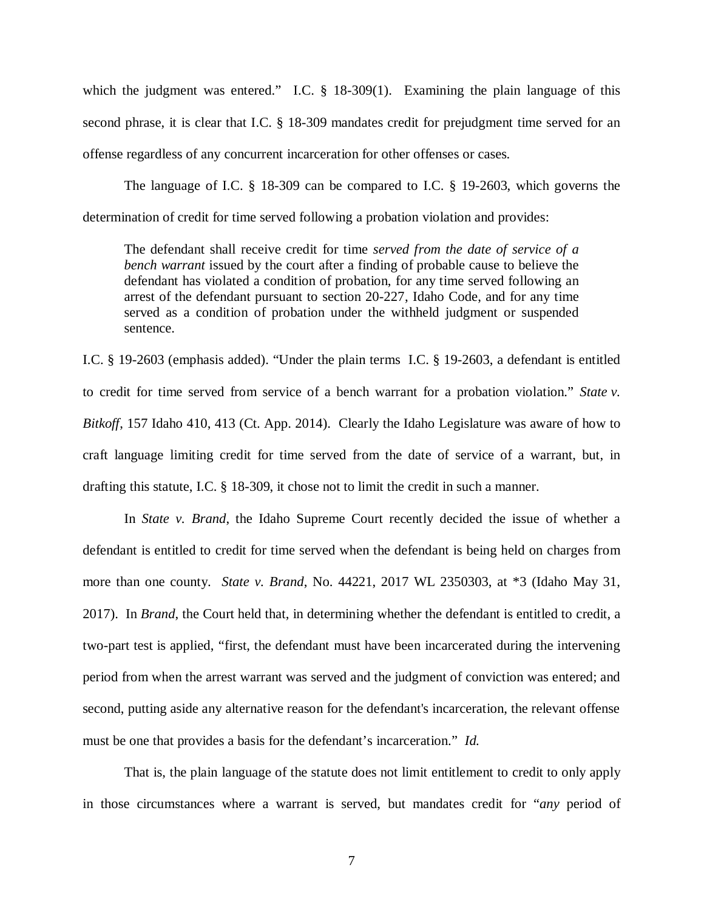which the judgment was entered." I.C. § 18-309(1). Examining the plain language of this second phrase, it is clear that I.C. § 18-309 mandates credit for prejudgment time served for an offense regardless of any concurrent incarceration for other offenses or cases.

The language of I.C. § 18-309 can be compared to I.C. § 19-2603, which governs the determination of credit for time served following a probation violation and provides:

The defendant shall receive credit for time *served from the date of service of a bench warrant* issued by the court after a finding of probable cause to believe the defendant has violated a condition of probation, for any time served following an arrest of the defendant pursuant to section 20-227, Idaho Code, and for any time served as a condition of probation under the withheld judgment or suspended sentence.

I.C. § 19-2603 (emphasis added). "Under the plain terms I.C. § 19-2603, a defendant is entitled to credit for time served from service of a bench warrant for a probation violation." *State v. Bitkoff*, 157 Idaho 410, 413 (Ct. App. 2014). Clearly the Idaho Legislature was aware of how to craft language limiting credit for time served from the date of service of a warrant, but, in drafting this statute, I.C. § 18-309, it chose not to limit the credit in such a manner.

In *State v. Brand*, the Idaho Supreme Court recently decided the issue of whether a defendant is entitled to credit for time served when the defendant is being held on charges from more than one county. *State v. Brand*, No. 44221, 2017 WL 2350303, at \*3 (Idaho May 31, 2017). In *Brand*, the Court held that, in determining whether the defendant is entitled to credit, a two-part test is applied, "first, the defendant must have been incarcerated during the intervening period from when the arrest warrant was served and the judgment of conviction was entered; and second, putting aside any alternative reason for the defendant's incarceration, the relevant offense must be one that provides a basis for the defendant's incarceration." *Id.*

That is, the plain language of the statute does not limit entitlement to credit to only apply in those circumstances where a warrant is served, but mandates credit for "*any* period of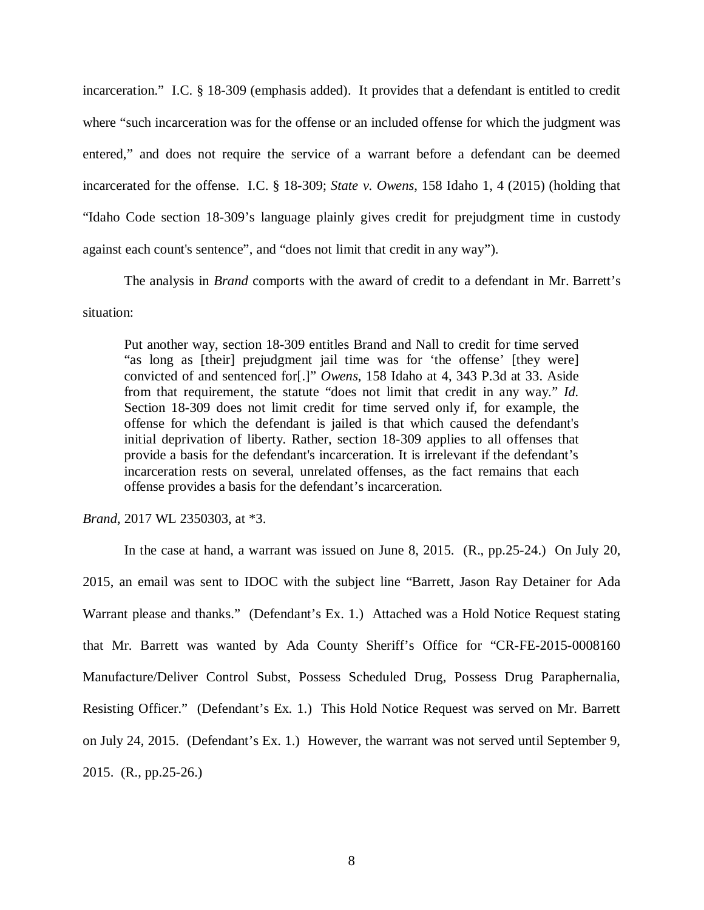incarceration." I.C. § 18-309 (emphasis added). It provides that a defendant is entitled to credit where "such incarceration was for the offense or an included offense for which the judgment was entered," and does not require the service of a warrant before a defendant can be deemed incarcerated for the offense. I.C. § 18-309; *State v. Owens*, 158 Idaho 1, 4 (2015) (holding that "Idaho Code section 18-309's language plainly gives credit for prejudgment time in custody against each count's sentence", and "does not limit that credit in any way").

The analysis in *Brand* comports with the award of credit to a defendant in Mr. Barrett's situation:

Put another way, section 18-309 entitles Brand and Nall to credit for time served "as long as [their] prejudgment jail time was for 'the offense' [they were] convicted of and sentenced for[.]" *Owens*, 158 Idaho at 4, 343 P.3d at 33. Aside from that requirement, the statute "does not limit that credit in any way." *Id.* Section 18-309 does not limit credit for time served only if, for example, the offense for which the defendant is jailed is that which caused the defendant's initial deprivation of liberty. Rather, section 18-309 applies to all offenses that provide a basis for the defendant's incarceration. It is irrelevant if the defendant's incarceration rests on several, unrelated offenses, as the fact remains that each offense provides a basis for the defendant's incarceration.

*Brand*, 2017 WL 2350303, at \*3.

In the case at hand, a warrant was issued on June 8, 2015. (R., pp.25-24.) On July 20, 2015, an email was sent to IDOC with the subject line "Barrett, Jason Ray Detainer for Ada Warrant please and thanks." (Defendant's Ex. 1.) Attached was a Hold Notice Request stating that Mr. Barrett was wanted by Ada County Sheriff's Office for "CR-FE-2015-0008160 Manufacture/Deliver Control Subst, Possess Scheduled Drug, Possess Drug Paraphernalia, Resisting Officer." (Defendant's Ex. 1.) This Hold Notice Request was served on Mr. Barrett on July 24, 2015. (Defendant's Ex. 1.) However, the warrant was not served until September 9, 2015. (R., pp.25-26.)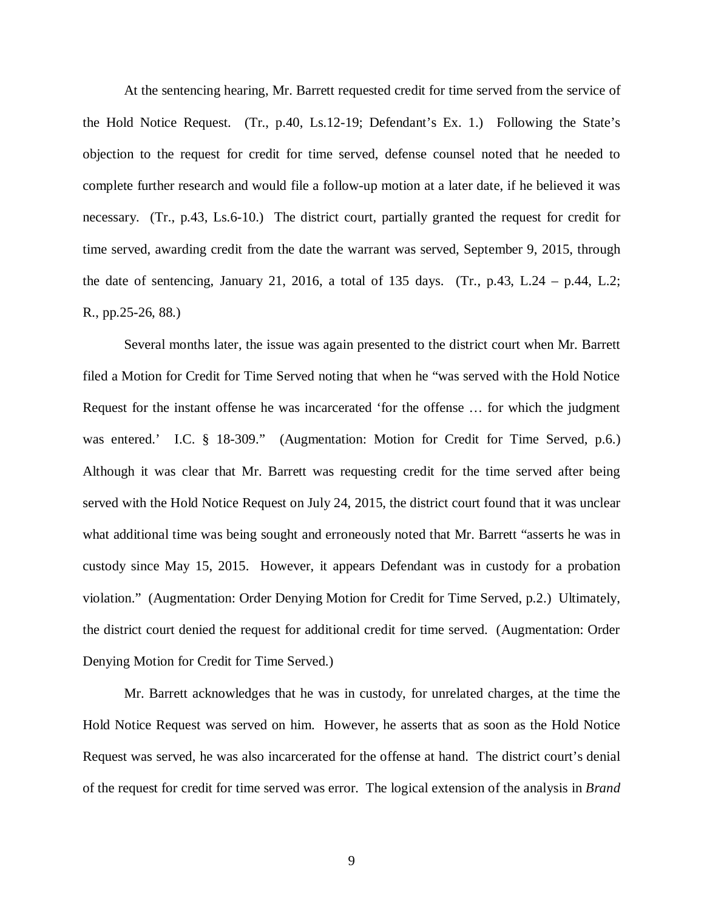At the sentencing hearing, Mr. Barrett requested credit for time served from the service of the Hold Notice Request. (Tr., p.40, Ls.12-19; Defendant's Ex. 1.) Following the State's objection to the request for credit for time served, defense counsel noted that he needed to complete further research and would file a follow-up motion at a later date, if he believed it was necessary. (Tr., p.43, Ls.6-10.) The district court, partially granted the request for credit for time served, awarding credit from the date the warrant was served, September 9, 2015, through the date of sentencing, January 21, 2016, a total of 135 days. (Tr., p.43, L.24 – p.44, L.2; R., pp.25-26, 88.)

Several months later, the issue was again presented to the district court when Mr. Barrett filed a Motion for Credit for Time Served noting that when he "was served with the Hold Notice Request for the instant offense he was incarcerated 'for the offense … for which the judgment was entered.' I.C. § 18-309." (Augmentation: Motion for Credit for Time Served, p.6.) Although it was clear that Mr. Barrett was requesting credit for the time served after being served with the Hold Notice Request on July 24, 2015, the district court found that it was unclear what additional time was being sought and erroneously noted that Mr. Barrett "asserts he was in custody since May 15, 2015. However, it appears Defendant was in custody for a probation violation." (Augmentation: Order Denying Motion for Credit for Time Served, p.2.) Ultimately, the district court denied the request for additional credit for time served. (Augmentation: Order Denying Motion for Credit for Time Served.)

Mr. Barrett acknowledges that he was in custody, for unrelated charges, at the time the Hold Notice Request was served on him. However, he asserts that as soon as the Hold Notice Request was served, he was also incarcerated for the offense at hand. The district court's denial of the request for credit for time served was error. The logical extension of the analysis in *Brand*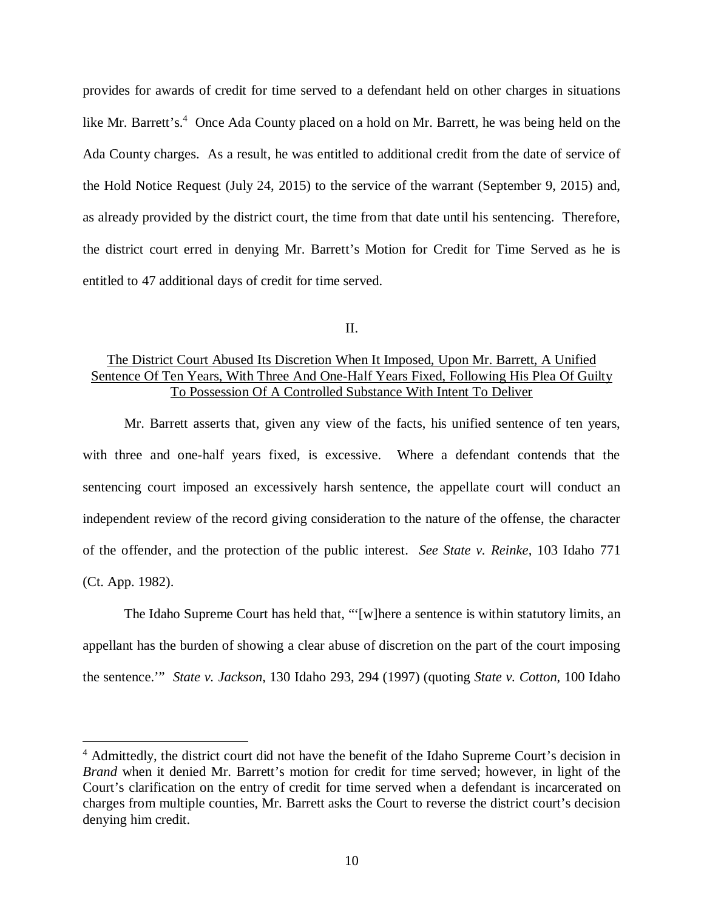provides for awards of credit for time served to a defendant held on other charges in situations like Mr. Barrett's.<sup>[4](#page-14-0)</sup> Once Ada County placed on a hold on Mr. Barrett, he was being held on the Ada County charges. As a result, he was entitled to additional credit from the date of service of the Hold Notice Request (July 24, 2015) to the service of the warrant (September 9, 2015) and, as already provided by the district court, the time from that date until his sentencing. Therefore, the district court erred in denying Mr. Barrett's Motion for Credit for Time Served as he is entitled to 47 additional days of credit for time served.

II.

### The District Court Abused Its Discretion When It Imposed, Upon Mr. Barrett, A Unified Sentence Of Ten Years, With Three And One-Half Years Fixed, Following His Plea Of Guilty To Possession Of A Controlled Substance With Intent To Deliver

Mr. Barrett asserts that, given any view of the facts, his unified sentence of ten years, with three and one-half years fixed, is excessive. Where a defendant contends that the sentencing court imposed an excessively harsh sentence, the appellate court will conduct an independent review of the record giving consideration to the nature of the offense, the character of the offender, and the protection of the public interest. *See State v. Reinke*, 103 Idaho 771 (Ct. App. 1982).

The Idaho Supreme Court has held that, "'[w]here a sentence is within statutory limits, an appellant has the burden of showing a clear abuse of discretion on the part of the court imposing the sentence.'" *State v. Jackson*, 130 Idaho 293, 294 (1997) (quoting *State v. Cotton*, 100 Idaho

<span id="page-14-0"></span><sup>&</sup>lt;sup>4</sup> Admittedly, the district court did not have the benefit of the Idaho Supreme Court's decision in *Brand* when it denied Mr. Barrett's motion for credit for time served; however, in light of the Court's clarification on the entry of credit for time served when a defendant is incarcerated on charges from multiple counties, Mr. Barrett asks the Court to reverse the district court's decision denying him credit.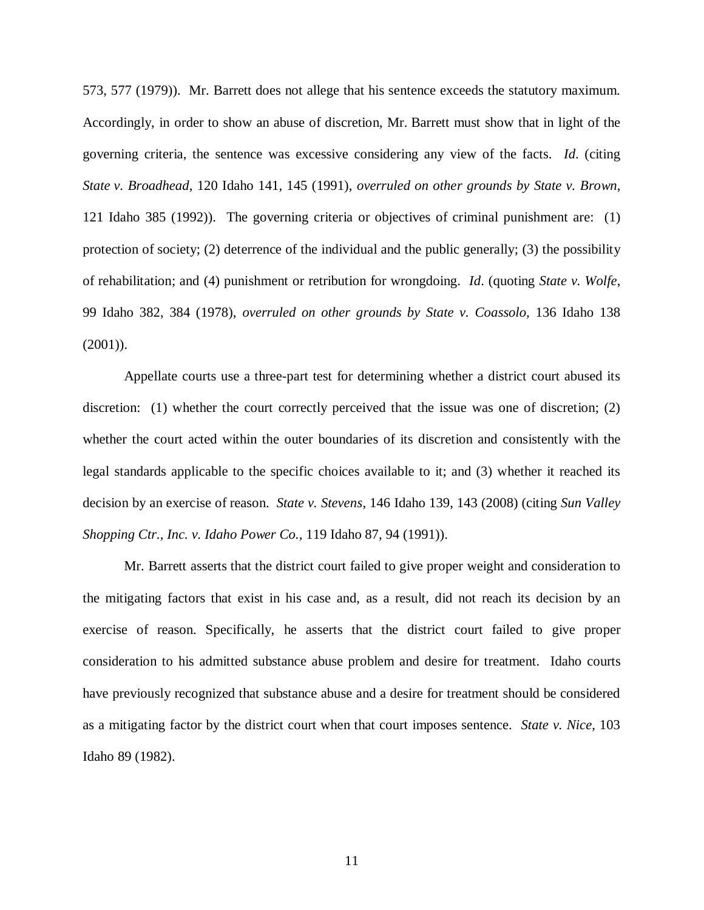573, 577 (1979)). Mr. Barrett does not allege that his sentence exceeds the statutory maximum. Accordingly, in order to show an abuse of discretion, Mr. Barrett must show that in light of the governing criteria, the sentence was excessive considering any view of the facts. *Id*. (citing *State v. Broadhead*, 120 Idaho 141, 145 (1991), *overruled on other grounds by State v. Brown*, 121 Idaho 385 (1992)). The governing criteria or objectives of criminal punishment are: (1) protection of society; (2) deterrence of the individual and the public generally; (3) the possibility of rehabilitation; and (4) punishment or retribution for wrongdoing. *Id*. (quoting *State v. Wolfe*, 99 Idaho 382, 384 (1978), *overruled on other grounds by State v. Coassolo,* 136 Idaho 138 (2001)).

Appellate courts use a three-part test for determining whether a district court abused its discretion: (1) whether the court correctly perceived that the issue was one of discretion; (2) whether the court acted within the outer boundaries of its discretion and consistently with the legal standards applicable to the specific choices available to it; and (3) whether it reached its decision by an exercise of reason. *State v. Stevens*, 146 Idaho 139, 143 (2008) (citing *[Sun Valley](https://a.next.westlaw.com/Link/Document/FullText?findType=Y&serNum=1991020453&pubNum=661&originatingDoc=Ib1fc665a58e011ddbc7bf97f340af743&refType=RP&fi=co_pp_sp_661_1000&originationContext=document&transitionType=DocumentItem&contextData=(sc.Folder*cid.e4ef799cd44b4f4184ec493464b042f9*oc.Search)#co_pp_sp_661_1000) [Shopping Ctr., Inc. v. Idaho Power Co.,](https://a.next.westlaw.com/Link/Document/FullText?findType=Y&serNum=1991020453&pubNum=661&originatingDoc=Ib1fc665a58e011ddbc7bf97f340af743&refType=RP&fi=co_pp_sp_661_1000&originationContext=document&transitionType=DocumentItem&contextData=(sc.Folder*cid.e4ef799cd44b4f4184ec493464b042f9*oc.Search)#co_pp_sp_661_1000)* 119 Idaho 87, 94 (1991)).

Mr. Barrett asserts that the district court failed to give proper weight and consideration to the mitigating factors that exist in his case and, as a result, did not reach its decision by an exercise of reason. Specifically, he asserts that the district court failed to give proper consideration to his admitted substance abuse problem and desire for treatment. Idaho courts have previously recognized that substance abuse and a desire for treatment should be considered as a mitigating factor by the district court when that court imposes sentence. *State v. Nice*, 103 Idaho 89 (1982).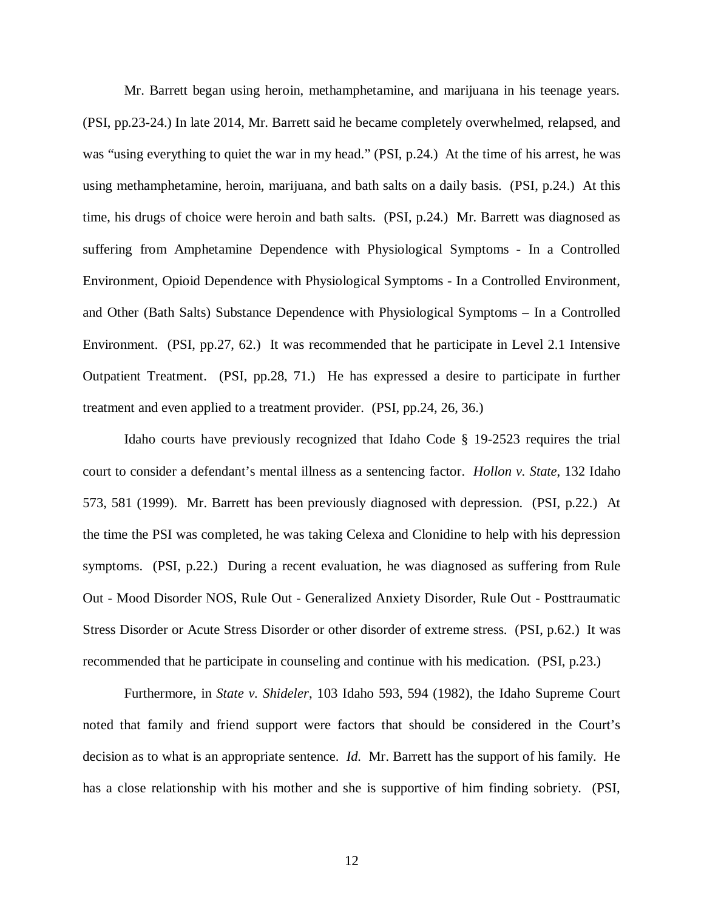Mr. Barrett began using heroin, methamphetamine, and marijuana in his teenage years. (PSI, pp.23-24.) In late 2014, Mr. Barrett said he became completely overwhelmed, relapsed, and was "using everything to quiet the war in my head." (PSI, p.24.) At the time of his arrest, he was using methamphetamine, heroin, marijuana, and bath salts on a daily basis. (PSI, p.24.) At this time, his drugs of choice were heroin and bath salts. (PSI, p.24.) Mr. Barrett was diagnosed as suffering from Amphetamine Dependence with Physiological Symptoms - In a Controlled Environment, Opioid Dependence with Physiological Symptoms - In a Controlled Environment, and Other (Bath Salts) Substance Dependence with Physiological Symptoms – In a Controlled Environment. (PSI, pp.27, 62.) It was recommended that he participate in Level 2.1 Intensive Outpatient Treatment. (PSI, pp.28, 71.) He has expressed a desire to participate in further treatment and even applied to a treatment provider. (PSI, pp.24, 26, 36.)

Idaho courts have previously recognized that Idaho Code § 19-2523 requires the trial court to consider a defendant's mental illness as a sentencing factor. *Hollon v. State*, 132 Idaho 573, 581 (1999). Mr. Barrett has been previously diagnosed with depression. (PSI, p.22.) At the time the PSI was completed, he was taking Celexa and Clonidine to help with his depression symptoms. (PSI, p.22.) During a recent evaluation, he was diagnosed as suffering from Rule Out - Mood Disorder NOS, Rule Out - Generalized Anxiety Disorder, Rule Out - Posttraumatic Stress Disorder or Acute Stress Disorder or other disorder of extreme stress. (PSI, p.62.) It was recommended that he participate in counseling and continue with his medication. (PSI, p.23.)

Furthermore, in *State v. Shideler*, 103 Idaho 593, 594 (1982), the Idaho Supreme Court noted that family and friend support were factors that should be considered in the Court's decision as to what is an appropriate sentence. *Id.* Mr. Barrett has the support of his family. He has a close relationship with his mother and she is supportive of him finding sobriety. (PSI,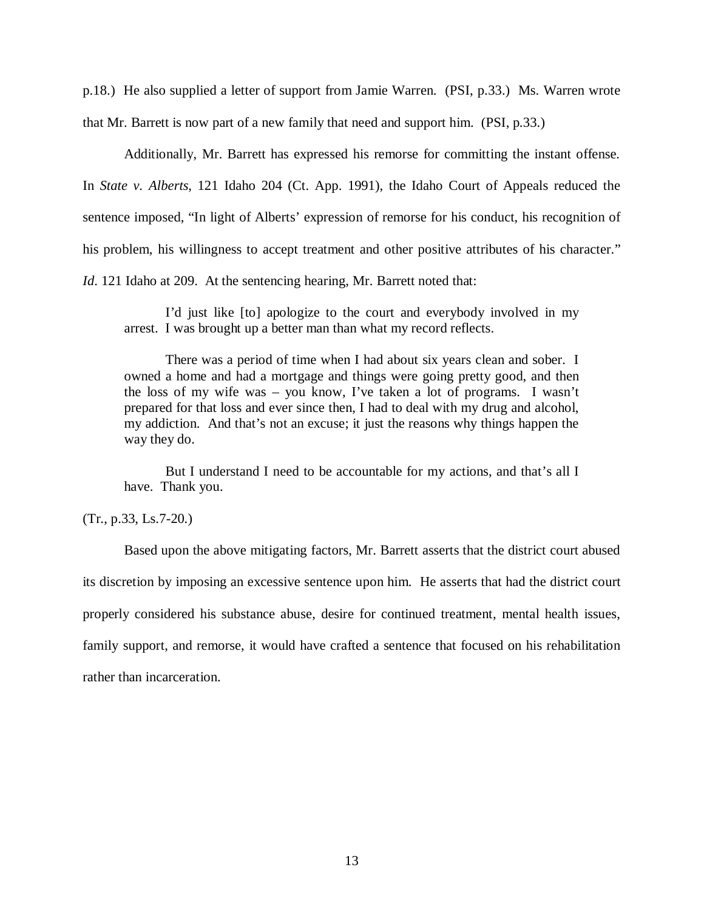p.18.) He also supplied a letter of support from Jamie Warren. (PSI, p.33.) Ms. Warren wrote that Mr. Barrett is now part of a new family that need and support him. (PSI, p.33.)

Additionally, Mr. Barrett has expressed his remorse for committing the instant offense. In *State v. Alberts*, 121 Idaho 204 (Ct. App. 1991), the Idaho Court of Appeals reduced the sentence imposed, "In light of Alberts' expression of remorse for his conduct, his recognition of his problem, his willingness to accept treatment and other positive attributes of his character." *Id.* 121 Idaho at 209. At the sentencing hearing, Mr. Barrett noted that:

I'd just like [to] apologize to the court and everybody involved in my arrest. I was brought up a better man than what my record reflects.

There was a period of time when I had about six years clean and sober. I owned a home and had a mortgage and things were going pretty good, and then the loss of my wife was – you know, I've taken a lot of programs. I wasn't prepared for that loss and ever since then, I had to deal with my drug and alcohol, my addiction. And that's not an excuse; it just the reasons why things happen the way they do.

But I understand I need to be accountable for my actions, and that's all I have. Thank you.

(Tr., p.33, Ls.7-20.)

Based upon the above mitigating factors, Mr. Barrett asserts that the district court abused its discretion by imposing an excessive sentence upon him. He asserts that had the district court properly considered his substance abuse, desire for continued treatment, mental health issues, family support, and remorse, it would have crafted a sentence that focused on his rehabilitation rather than incarceration.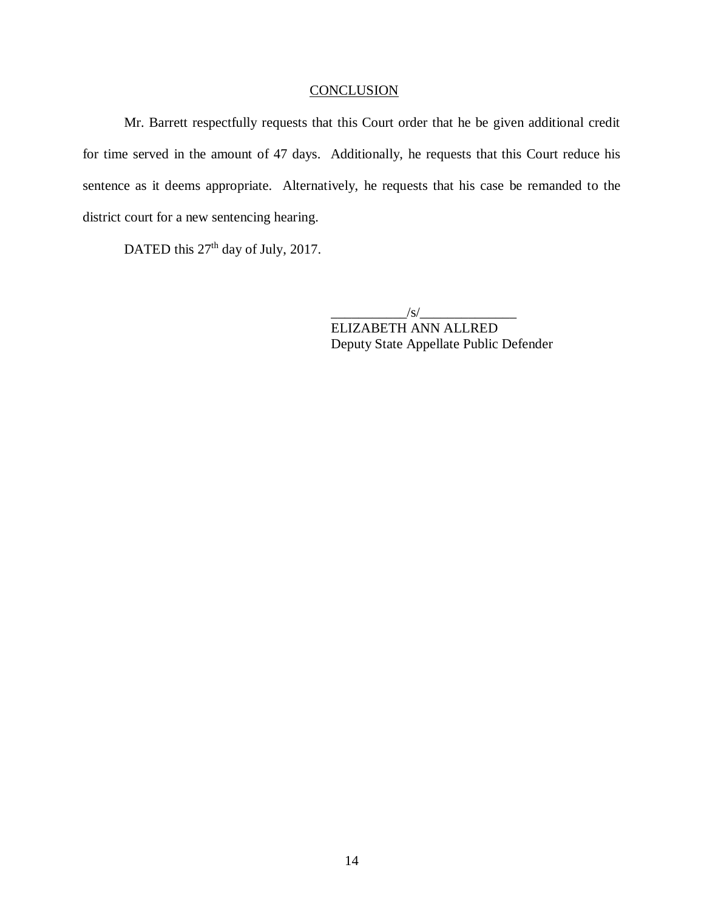### **CONCLUSION**

Mr. Barrett respectfully requests that this Court order that he be given additional credit for time served in the amount of 47 days. Additionally, he requests that this Court reduce his sentence as it deems appropriate. Alternatively, he requests that his case be remanded to the district court for a new sentencing hearing.

DATED this 27<sup>th</sup> day of July, 2017.

 $\frac{|S|}{|S|}$ 

ELIZABETH ANN ALLRED Deputy State Appellate Public Defender